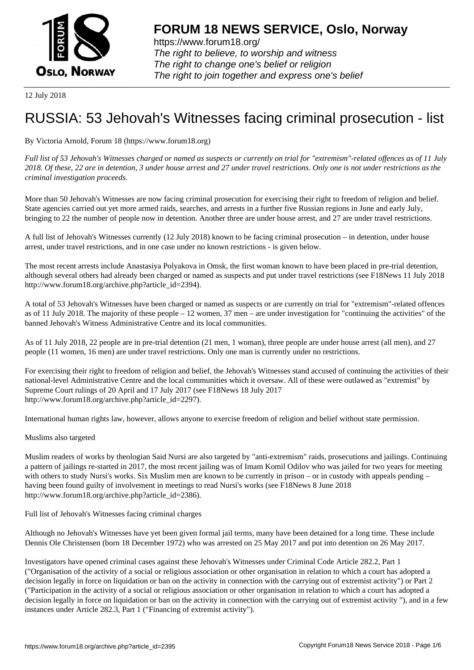

https://www.forum18.org/ The right to believe, to worship and witness The right to change one's belief or religion [The right to join together a](https://www.forum18.org/)nd express one's belief

12 July 2018

# [RUSSIA: 53 Jeh](https://www.forum18.org)ovah's Witnesses facing criminal prosecution - list

By Victoria Arnold, Forum 18 (https://www.forum18.org)

*Full list of 53 Jehovah's Witnesses charged or named as suspects or currently on trial for "extremism"-related offences as of 11 July 2018. Of these, 22 are in detention, 3 under house arrest and 27 under travel restrictions. Only one is not under restrictions as the criminal investigation proceeds.*

More than 50 Jehovah's Witnesses are now facing criminal prosecution for exercising their right to freedom of religion and belief. State agencies carried out yet more armed raids, searches, and arrests in a further five Russian regions in June and early July, bringing to 22 the number of people now in detention. Another three are under house arrest, and 27 are under travel restrictions.

A full list of Jehovah's Witnesses currently (12 July 2018) known to be facing criminal prosecution – in detention, under house arrest, under travel restrictions, and in one case under no known restrictions - is given below.

The most recent arrests include Anastasiya Polyakova in Omsk, the first woman known to have been placed in pre-trial detention, although several others had already been charged or named as suspects and put under travel restrictions (see F18News 11 July 2018 http://www.forum18.org/archive.php?article\_id=2394).

A total of 53 Jehovah's Witnesses have been charged or named as suspects or are currently on trial for "extremism"-related offences as of 11 July 2018. The majority of these people – 12 women, 37 men – are under investigation for "continuing the activities" of the banned Jehovah's Witness Administrative Centre and its local communities.

As of 11 July 2018, 22 people are in pre-trial detention (21 men, 1 woman), three people are under house arrest (all men), and 27 people (11 women, 16 men) are under travel restrictions. Only one man is currently under no restrictions.

For exercising their right to freedom of religion and belief, the Jehovah's Witnesses stand accused of continuing the activities of their national-level Administrative Centre and the local communities which it oversaw. All of these were outlawed as "extremist" by Supreme Court rulings of 20 April and 17 July 2017 (see F18News 18 July 2017 http://www.forum18.org/archive.php?article\_id=2297).

International human rights law, however, allows anyone to exercise freedom of religion and belief without state permission.

Muslims also targeted

Muslim readers of works by theologian Said Nursi are also targeted by "anti-extremism" raids, prosecutions and jailings. Continuing a pattern of jailings re-started in 2017, the most recent jailing was of Imam Komil Odilov who was jailed for two years for meeting with others to study Nursi's works. Six Muslim men are known to be currently in prison – or in custody with appeals pending – having been found guilty of involvement in meetings to read Nursi's works (see F18News 8 June 2018 http://www.forum18.org/archive.php?article\_id=2386).

Full list of Jehovah's Witnesses facing criminal charges

Although no Jehovah's Witnesses have yet been given formal jail terms, many have been detained for a long time. These include Dennis Ole Christensen (born 18 December 1972) who was arrested on 25 May 2017 and put into detention on 26 May 2017.

Investigators have opened criminal cases against these Jehovah's Witnesses under Criminal Code Article 282.2, Part 1 ("Organisation of the activity of a social or religious association or other organisation in relation to which a court has adopted a decision legally in force on liquidation or ban on the activity in connection with the carrying out of extremist activity") or Part 2 ("Participation in the activity of a social or religious association or other organisation in relation to which a court has adopted a decision legally in force on liquidation or ban on the activity in connection with the carrying out of extremist activity "), and in a few instances under Article 282.3, Part 1 ("Financing of extremist activity").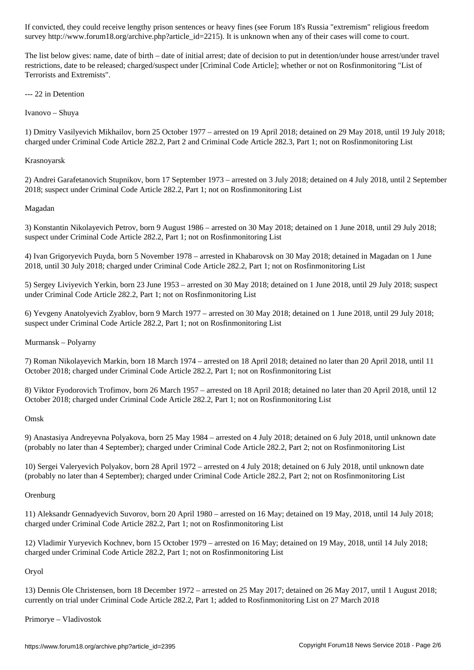survey http://www.forumlar.com/archive.php?article\_id=22151. It is unknown when any of the their come to come to come to come to come to come to come to come to come to come to come to come to come to come to come to come

The list below gives: name, date of birth – date of initial arrest; date of decision to put in detention/under house arrest/under travel restrictions, date to be released; charged/suspect under [Criminal Code Article]; whether or not on Rosfinmonitoring "List of Terrorists and Extremists".

--- 22 in Detention

Ivanovo – Shuya

1) Dmitry Vasilyevich Mikhailov, born 25 October 1977 – arrested on 19 April 2018; detained on 29 May 2018, until 19 July 2018; charged under Criminal Code Article 282.2, Part 2 and Criminal Code Article 282.3, Part 1; not on Rosfinmonitoring List

# Krasnoyarsk

2) Andrei Garafetanovich Stupnikov, born 17 September 1973 – arrested on 3 July 2018; detained on 4 July 2018, until 2 September 2018; suspect under Criminal Code Article 282.2, Part 1; not on Rosfinmonitoring List

# Magadan

3) Konstantin Nikolayevich Petrov, born 9 August 1986 – arrested on 30 May 2018; detained on 1 June 2018, until 29 July 2018; suspect under Criminal Code Article 282.2, Part 1; not on Rosfinmonitoring List

4) Ivan Grigoryevich Puyda, born 5 November 1978 – arrested in Khabarovsk on 30 May 2018; detained in Magadan on 1 June 2018, until 30 July 2018; charged under Criminal Code Article 282.2, Part 1; not on Rosfinmonitoring List

5) Sergey Liviyevich Yerkin, born 23 June 1953 – arrested on 30 May 2018; detained on 1 June 2018, until 29 July 2018; suspect under Criminal Code Article 282.2, Part 1; not on Rosfinmonitoring List

6) Yevgeny Anatolyevich Zyablov, born 9 March 1977 – arrested on 30 May 2018; detained on 1 June 2018, until 29 July 2018; suspect under Criminal Code Article 282.2, Part 1; not on Rosfinmonitoring List

# Murmansk – Polyarny

7) Roman Nikolayevich Markin, born 18 March 1974 – arrested on 18 April 2018; detained no later than 20 April 2018, until 11 October 2018; charged under Criminal Code Article 282.2, Part 1; not on Rosfinmonitoring List

8) Viktor Fyodorovich Trofimov, born 26 March 1957 – arrested on 18 April 2018; detained no later than 20 April 2018, until 12 October 2018; charged under Criminal Code Article 282.2, Part 1; not on Rosfinmonitoring List

Omsk

9) Anastasiya Andreyevna Polyakova, born 25 May 1984 – arrested on 4 July 2018; detained on 6 July 2018, until unknown date (probably no later than 4 September); charged under Criminal Code Article 282.2, Part 2; not on Rosfinmonitoring List

10) Sergei Valeryevich Polyakov, born 28 April 1972 – arrested on 4 July 2018; detained on 6 July 2018, until unknown date (probably no later than 4 September); charged under Criminal Code Article 282.2, Part 2; not on Rosfinmonitoring List

## **Orenburg**

11) Aleksandr Gennadyevich Suvorov, born 20 April 1980 – arrested on 16 May; detained on 19 May, 2018, until 14 July 2018; charged under Criminal Code Article 282.2, Part 1; not on Rosfinmonitoring List

12) Vladimir Yuryevich Kochnev, born 15 October 1979 – arrested on 16 May; detained on 19 May, 2018, until 14 July 2018; charged under Criminal Code Article 282.2, Part 1; not on Rosfinmonitoring List

# Oryol

13) Dennis Ole Christensen, born 18 December 1972 – arrested on 25 May 2017; detained on 26 May 2017, until 1 August 2018; currently on trial under Criminal Code Article 282.2, Part 1; added to Rosfinmonitoring List on 27 March 2018

## Primorye – Vladivostok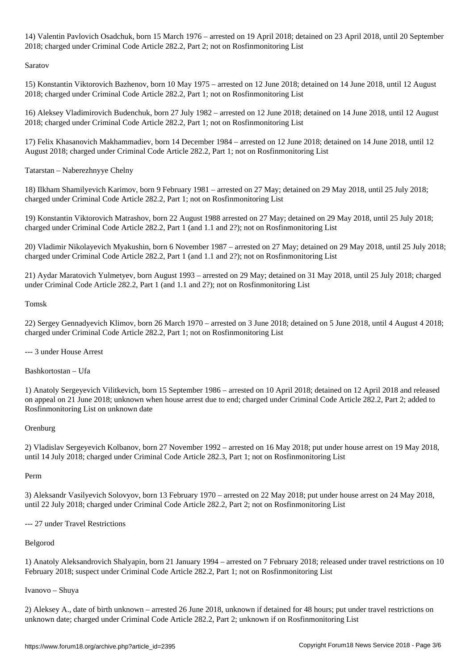$\mathcal{N}$  arrested on 15 March 1976 – arrested on 1976 – arrested on 23 April 2018; detained on 23 April 2018; detained on 23 April 2018; detained on 23 April 2018; detained on 23 April 2018; detained on 23 April 2018; det 2018; charged under Criminal Code Article 282.2, Part 2; not on Rosfinmonitoring List

Saratov

15) Konstantin Viktorovich Bazhenov, born 10 May 1975 – arrested on 12 June 2018; detained on 14 June 2018, until 12 August 2018; charged under Criminal Code Article 282.2, Part 1; not on Rosfinmonitoring List

16) Aleksey Vladimirovich Budenchuk, born 27 July 1982 – arrested on 12 June 2018; detained on 14 June 2018, until 12 August 2018; charged under Criminal Code Article 282.2, Part 1; not on Rosfinmonitoring List

17) Felix Khasanovich Makhammadiev, born 14 December 1984 – arrested on 12 June 2018; detained on 14 June 2018, until 12 August 2018; charged under Criminal Code Article 282.2, Part 1; not on Rosfinmonitoring List

Tatarstan – Naberezhnyye Chelny

18) Ilkham Shamilyevich Karimov, born 9 February 1981 – arrested on 27 May; detained on 29 May 2018, until 25 July 2018; charged under Criminal Code Article 282.2, Part 1; not on Rosfinmonitoring List

19) Konstantin Viktorovich Matrashov, born 22 August 1988 arrested on 27 May; detained on 29 May 2018, until 25 July 2018; charged under Criminal Code Article 282.2, Part 1 (and 1.1 and 2?); not on Rosfinmonitoring List

20) Vladimir Nikolayevich Myakushin, born 6 November 1987 – arrested on 27 May; detained on 29 May 2018, until 25 July 2018; charged under Criminal Code Article 282.2, Part 1 (and 1.1 and 2?); not on Rosfinmonitoring List

21) Aydar Maratovich Yulmetyev, born August 1993 – arrested on 29 May; detained on 31 May 2018, until 25 July 2018; charged under Criminal Code Article 282.2, Part 1 (and 1.1 and 2?); not on Rosfinmonitoring List

## Tomsk

22) Sergey Gennadyevich Klimov, born 26 March 1970 – arrested on 3 June 2018; detained on 5 June 2018, until 4 August 4 2018; charged under Criminal Code Article 282.2, Part 1; not on Rosfinmonitoring List

# --- 3 under House Arrest

Bashkortostan – Ufa

1) Anatoly Sergeyevich Vilitkevich, born 15 September 1986 – arrested on 10 April 2018; detained on 12 April 2018 and released on appeal on 21 June 2018; unknown when house arrest due to end; charged under Criminal Code Article 282.2, Part 2; added to Rosfinmonitoring List on unknown date

## **Orenburg**

2) Vladislav Sergeyevich Kolbanov, born 27 November 1992 – arrested on 16 May 2018; put under house arrest on 19 May 2018, until 14 July 2018; charged under Criminal Code Article 282.3, Part 1; not on Rosfinmonitoring List

## Perm

3) Aleksandr Vasilyevich Solovyov, born 13 February 1970 – arrested on 22 May 2018; put under house arrest on 24 May 2018, until 22 July 2018; charged under Criminal Code Article 282.2, Part 2; not on Rosfinmonitoring List

--- 27 under Travel Restrictions

# Belgorod

1) Anatoly Aleksandrovich Shalyapin, born 21 January 1994 – arrested on 7 February 2018; released under travel restrictions on 10 February 2018; suspect under Criminal Code Article 282.2, Part 1; not on Rosfinmonitoring List

## Ivanovo – Shuya

2) Aleksey A., date of birth unknown – arrested 26 June 2018, unknown if detained for 48 hours; put under travel restrictions on unknown date; charged under Criminal Code Article 282.2, Part 2; unknown if on Rosfinmonitoring List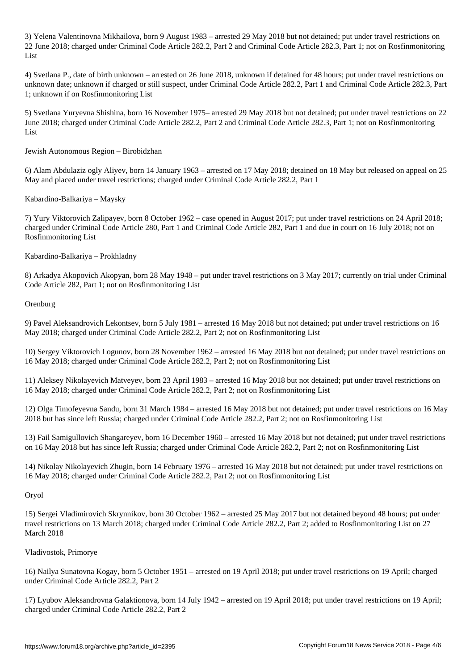3) Yelena Valentinovna Mikhailova, born 9 August 1983 – arrested 29 May 2018 but not detained; put under travel restrictions on 22 June 2018; charged under Criminal Code Article 282.2, Part 2 and Criminal Code Article 282.3, Part 1; not on Rosfinmonitoring List

4) Svetlana P., date of birth unknown – arrested on 26 June 2018, unknown if detained for 48 hours; put under travel restrictions on unknown date; unknown if charged or still suspect, under Criminal Code Article 282.2, Part 1 and Criminal Code Article 282.3, Part 1; unknown if on Rosfinmonitoring List

5) Svetlana Yuryevna Shishina, born 16 November 1975– arrested 29 May 2018 but not detained; put under travel restrictions on 22 June 2018; charged under Criminal Code Article 282.2, Part 2 and Criminal Code Article 282.3, Part 1; not on Rosfinmonitoring List

Jewish Autonomous Region – Birobidzhan

6) Alam Abdulaziz ogly Aliyev, born 14 January 1963 – arrested on 17 May 2018; detained on 18 May but released on appeal on 25 May and placed under travel restrictions; charged under Criminal Code Article 282.2, Part 1

Kabardino-Balkariya – Maysky

7) Yury Viktorovich Zalipayev, born 8 October 1962 – case opened in August 2017; put under travel restrictions on 24 April 2018; charged under Criminal Code Article 280, Part 1 and Criminal Code Article 282, Part 1 and due in court on 16 July 2018; not on Rosfinmonitoring List

Kabardino-Balkariya – Prokhladny

8) Arkadya Akopovich Akopyan, born 28 May 1948 – put under travel restrictions on 3 May 2017; currently on trial under Criminal Code Article 282, Part 1; not on Rosfinmonitoring List

Orenburg

9) Pavel Aleksandrovich Lekontsev, born 5 July 1981 – arrested 16 May 2018 but not detained; put under travel restrictions on 16 May 2018; charged under Criminal Code Article 282.2, Part 2; not on Rosfinmonitoring List

10) Sergey Viktorovich Logunov, born 28 November 1962 – arrested 16 May 2018 but not detained; put under travel restrictions on 16 May 2018; charged under Criminal Code Article 282.2, Part 2; not on Rosfinmonitoring List

11) Aleksey Nikolayevich Matveyev, born 23 April 1983 – arrested 16 May 2018 but not detained; put under travel restrictions on 16 May 2018; charged under Criminal Code Article 282.2, Part 2; not on Rosfinmonitoring List

12) Olga Timofeyevna Sandu, born 31 March 1984 – arrested 16 May 2018 but not detained; put under travel restrictions on 16 May 2018 but has since left Russia; charged under Criminal Code Article 282.2, Part 2; not on Rosfinmonitoring List

13) Fail Samigullovich Shangareyev, born 16 December 1960 – arrested 16 May 2018 but not detained; put under travel restrictions on 16 May 2018 but has since left Russia; charged under Criminal Code Article 282.2, Part 2; not on Rosfinmonitoring List

14) Nikolay Nikolayevich Zhugin, born 14 February 1976 – arrested 16 May 2018 but not detained; put under travel restrictions on 16 May 2018; charged under Criminal Code Article 282.2, Part 2; not on Rosfinmonitoring List

Oryol

15) Sergei Vladimirovich Skrynnikov, born 30 October 1962 – arrested 25 May 2017 but not detained beyond 48 hours; put under travel restrictions on 13 March 2018; charged under Criminal Code Article 282.2, Part 2; added to Rosfinmonitoring List on 27 March 2018

Vladivostok, Primorye

16) Nailya Sunatovna Kogay, born 5 October 1951 – arrested on 19 April 2018; put under travel restrictions on 19 April; charged under Criminal Code Article 282.2, Part 2

17) Lyubov Aleksandrovna Galaktionova, born 14 July 1942 – arrested on 19 April 2018; put under travel restrictions on 19 April; charged under Criminal Code Article 282.2, Part 2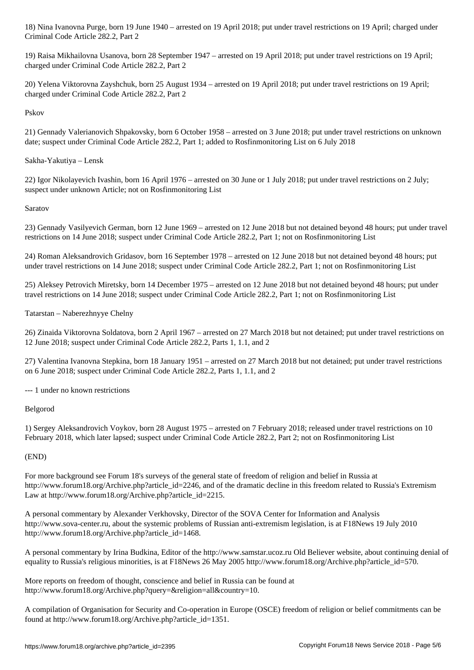19) Raisa Mikhailovna Usanova, born 28 September 1947 – arrested on 19 April 2018; put under travel restrictions on 19 April; charged under Criminal Code Article 282.2, Part 2

20) Yelena Viktorovna Zayshchuk, born 25 August 1934 – arrested on 19 April 2018; put under travel restrictions on 19 April; charged under Criminal Code Article 282.2, Part 2

#### Pskov

21) Gennady Valerianovich Shpakovsky, born 6 October 1958 – arrested on 3 June 2018; put under travel restrictions on unknown date; suspect under Criminal Code Article 282.2, Part 1; added to Rosfinmonitoring List on 6 July 2018

#### Sakha-Yakutiya – Lensk

Criminal Code Article 282.2, Part 2

22) Igor Nikolayevich Ivashin, born 16 April 1976 – arrested on 30 June or 1 July 2018; put under travel restrictions on 2 July; suspect under unknown Article; not on Rosfinmonitoring List

#### Saratov

23) Gennady Vasilyevich German, born 12 June 1969 – arrested on 12 June 2018 but not detained beyond 48 hours; put under travel restrictions on 14 June 2018; suspect under Criminal Code Article 282.2, Part 1; not on Rosfinmonitoring List

24) Roman Aleksandrovich Gridasov, born 16 September 1978 – arrested on 12 June 2018 but not detained beyond 48 hours; put under travel restrictions on 14 June 2018; suspect under Criminal Code Article 282.2, Part 1; not on Rosfinmonitoring List

25) Aleksey Petrovich Miretsky, born 14 December 1975 – arrested on 12 June 2018 but not detained beyond 48 hours; put under travel restrictions on 14 June 2018; suspect under Criminal Code Article 282.2, Part 1; not on Rosfinmonitoring List

#### Tatarstan – Naberezhnyye Chelny

26) Zinaida Viktorovna Soldatova, born 2 April 1967 – arrested on 27 March 2018 but not detained; put under travel restrictions on 12 June 2018; suspect under Criminal Code Article 282.2, Parts 1, 1.1, and 2

27) Valentina Ivanovna Stepkina, born 18 January 1951 – arrested on 27 March 2018 but not detained; put under travel restrictions on 6 June 2018; suspect under Criminal Code Article 282.2, Parts 1, 1.1, and 2

--- 1 under no known restrictions

#### Belgorod

1) Sergey Aleksandrovich Voykov, born 28 August 1975 – arrested on 7 February 2018; released under travel restrictions on 10 February 2018, which later lapsed; suspect under Criminal Code Article 282.2, Part 2; not on Rosfinmonitoring List

#### (END)

For more background see Forum 18's surveys of the general state of freedom of religion and belief in Russia at http://www.forum18.org/Archive.php?article\_id=2246, and of the dramatic decline in this freedom related to Russia's Extremism Law at http://www.forum18.org/Archive.php?article\_id=2215.

A personal commentary by Alexander Verkhovsky, Director of the SOVA Center for Information and Analysis http://www.sova-center.ru, about the systemic problems of Russian anti-extremism legislation, is at F18News 19 July 2010 http://www.forum18.org/Archive.php?article\_id=1468.

A personal commentary by Irina Budkina, Editor of the http://www.samstar.ucoz.ru Old Believer website, about continuing denial of equality to Russia's religious minorities, is at F18News 26 May 2005 http://www.forum18.org/Archive.php?article\_id=570.

More reports on freedom of thought, conscience and belief in Russia can be found at http://www.forum18.org/Archive.php?query=&religion=all&country=10.

A compilation of Organisation for Security and Co-operation in Europe (OSCE) freedom of religion or belief commitments can be found at http://www.forum18.org/Archive.php?article\_id=1351.